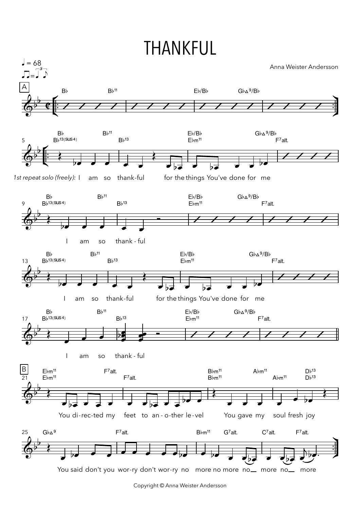## THANKFUL



Copyright © Anna Weister Andersson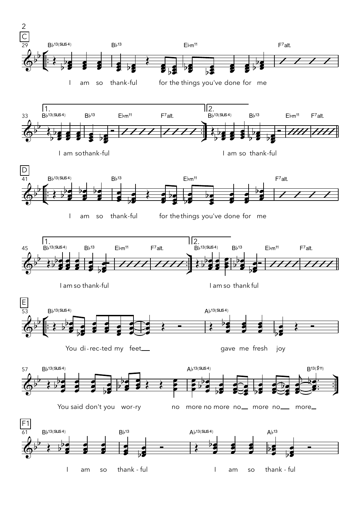